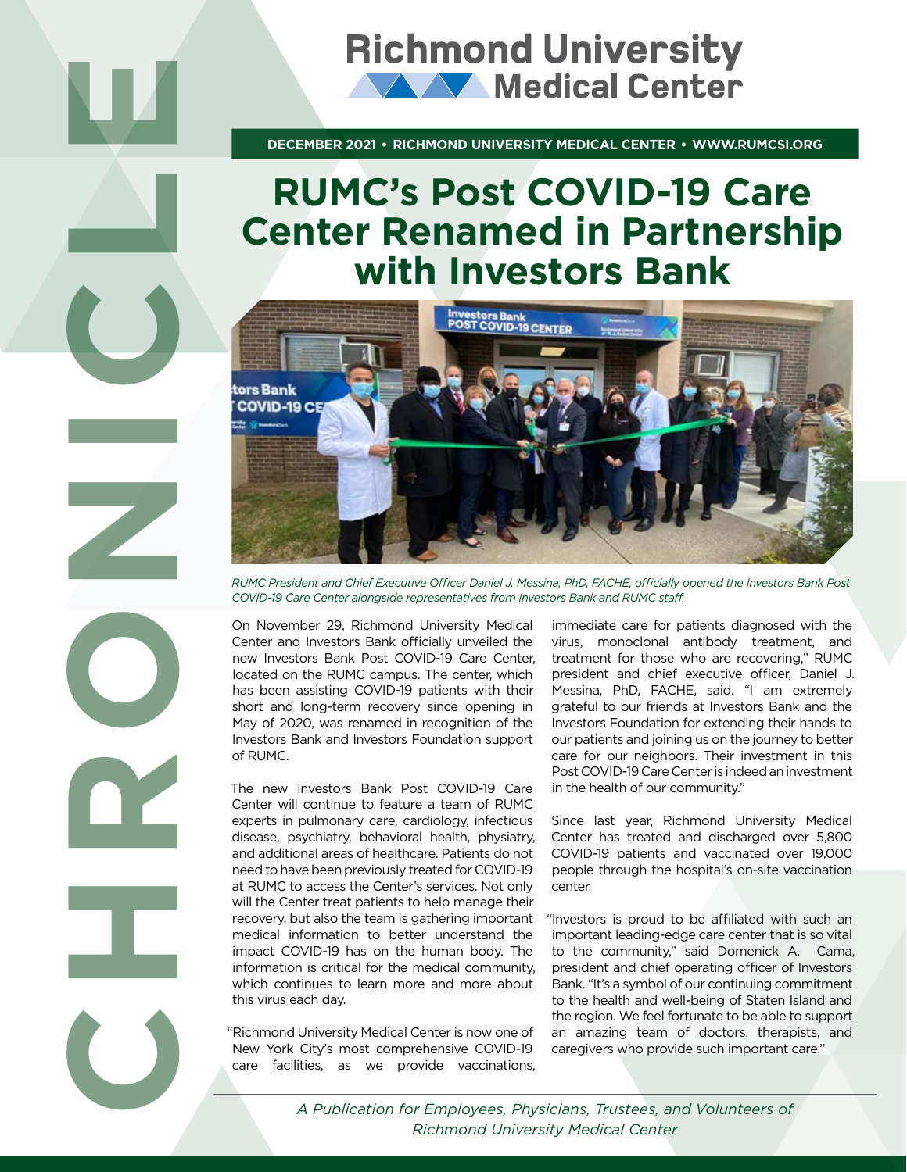**DECEMBER 2021 • RICHMOND UNIVERSITY MEDICAL CENTER • WWW.RUMCSI.ORG** 

# **RUMC's Post COVID-19 Care Center Renamed in Partnership with Investors Bank**



*RUMC President and Chief Executive Officer Daniel J. Messina, PhD, FACHE, officially opened the Investors Bank Post COVID-19 Care Center alongside representatives from Investors Bank and RUMC staff.* 

On November 29, Richmond University Medical Center and Investors Bank officially unveiled the new Investors Bank Post COVID-19 Care Center, located on the RUMC campus. The center, which has been assisting COVID-19 patients with their short and long-term recovery since opening in May of 2020, was renamed in recognition of the Investors Bank and Investors Foundation support of RUMC.

The new Investors Bank Post COVID-19 Care Center will continue to feature a team of RUMC experts in pulmonary care, cardiology, infectious disease, psychiatry, behavioral health, physiatry, and additional areas of healthcare. Patients do not need to have been previously treated for COVID-19 at RUMC to access the Center's services. Not only will the Center treat patients to help manage their recovery, but also the team is gathering important medical information to better understand the impact COVID-19 has on the human body. The information is critical for the medical community, which continues to learn more and more about this virus each day.

"Richmond University Medical Center is now one of New York City's most comprehensive COVID-19 care facilities, as we provide vaccinations, immediate care for patients diagnosed with the virus, monoclonal antibody treatment, and treatment for those who are recovering," RUMC president and chief executive officer, Daniel J. Messina, PhD, FACHE, said. "I am extremely grateful to our friends at Investors Bank and the Investors Foundation for extending their hands to our patients and joining us on the journey to better care for our neighbors. Their investment in this Post COVID-19 Care Center is indeed an investment in the health of our community."

Since last year, Richmond University Medical Center has treated and discharged over 5,800 COVID-19 patients and vaccinated over 19,000 people through the hospital's on-site vaccination center.

"Investors is proud to be affiliated with such an important leading-edge care center that is so vital to the community," said Domenick A. Cama, president and chief operating officer of Investors Bank. "It's a symbol of our continuing commitment to the health and well-being of Staten Island and the region. We feel fortunate to be able to support an amazing team of doctors, therapists, and caregivers who provide such important care."

*Richmond University Medical Center*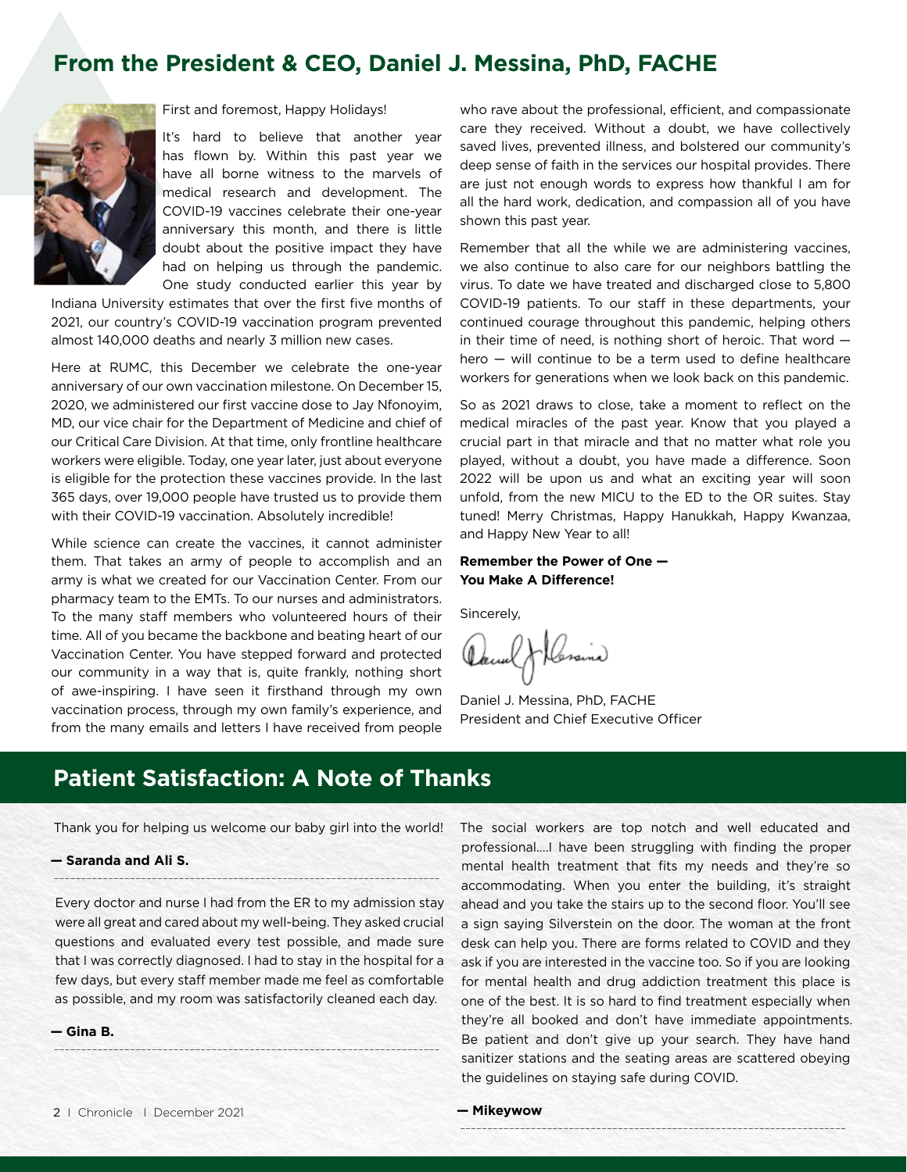#### **From the President & CEO, Daniel J. Messina, PhD, FACHE**



First and foremost, Happy Holidays!

It's hard to believe that another year has flown by. Within this past year we have all borne witness to the marvels of medical research and development. The COVID-19 vaccines celebrate their one-year anniversary this month, and there is little doubt about the positive impact they have had on helping us through the pandemic. One study conducted earlier this year by

Indiana University estimates that over the first five months of 2021, our country's COVID-19 vaccination program prevented almost 140,000 deaths and nearly 3 million new cases.

Here at RUMC, this December we celebrate the one-year anniversary of our own vaccination milestone. On December 15, 2020, we administered our first vaccine dose to Jay Nfonoyim, MD, our vice chair for the Department of Medicine and chief of our Critical Care Division. At that time, only frontline healthcare workers were eligible. Today, one year later, just about everyone is eligible for the protection these vaccines provide. In the last 365 days, over 19,000 people have trusted us to provide them with their COVID-19 vaccination. Absolutely incredible!

While science can create the vaccines, it cannot administer them. That takes an army of people to accomplish and an army is what we created for our Vaccination Center. From our pharmacy team to the EMTs. To our nurses and administrators. To the many staff members who volunteered hours of their time. All of you became the backbone and beating heart of our Vaccination Center. You have stepped forward and protected our community in a way that is, quite frankly, nothing short of awe-inspiring. I have seen it firsthand through my own vaccination process, through my own family's experience, and from the many emails and letters I have received from people who rave about the professional, efficient, and compassionate care they received. Without a doubt, we have collectively saved lives, prevented illness, and bolstered our community's deep sense of faith in the services our hospital provides. There are just not enough words to express how thankful I am for all the hard work, dedication, and compassion all of you have shown this past year.

Remember that all the while we are administering vaccines, we also continue to also care for our neighbors battling the virus. To date we have treated and discharged close to 5,800 COVID-19 patients. To our staff in these departments, your continued courage throughout this pandemic, helping others in their time of need, is nothing short of heroic. That word hero — will continue to be a term used to define healthcare workers for generations when we look back on this pandemic.

So as 2021 draws to close, take a moment to reflect on the medical miracles of the past year. Know that you played a crucial part in that miracle and that no matter what role you played, without a doubt, you have made a difference. Soon 2022 will be upon us and what an exciting year will soon unfold, from the new MICU to the ED to the OR suites. Stay tuned! Merry Christmas, Happy Hanukkah, Happy Kwanzaa, and Happy New Year to all!

#### **Remember the Power of One — You Make A Difference!**

Sincerely,

Heraina

Daniel J. Messina, PhD, FACHE President and Chief Executive Officer

#### **Patient Satisfaction: A Note of Thanks**

Thank you for helping us welcome our baby girl into the world!

**-----------------------------------------------------------------------**

#### **— Saranda and Ali S.**

Every doctor and nurse I had from the ER to my admission stay were all great and cared about my well-being. They asked crucial questions and evaluated every test possible, and made sure that I was correctly diagnosed. I had to stay in the hospital for a few days, but every staff member made me feel as comfortable as possible, and my room was satisfactorily cleaned each day.

**-----------------------------------------------------------------------**

**— Gina B.** 

The social workers are top notch and well educated and professional….I have been struggling with finding the proper mental health treatment that fits my needs and they're so accommodating. When you enter the building, it's straight ahead and you take the stairs up to the second floor. You'll see a sign saying Silverstein on the door. The woman at the front desk can help you. There are forms related to COVID and they ask if you are interested in the vaccine too. So if you are looking for mental health and drug addiction treatment this place is one of the best. It is so hard to find treatment especially when they're all booked and don't have immediate appointments. Be patient and don't give up your search. They have hand sanitizer stations and the seating areas are scattered obeying the guidelines on staying safe during COVID.

**-----------------------------------------------------------------------**

**— Mikeywow**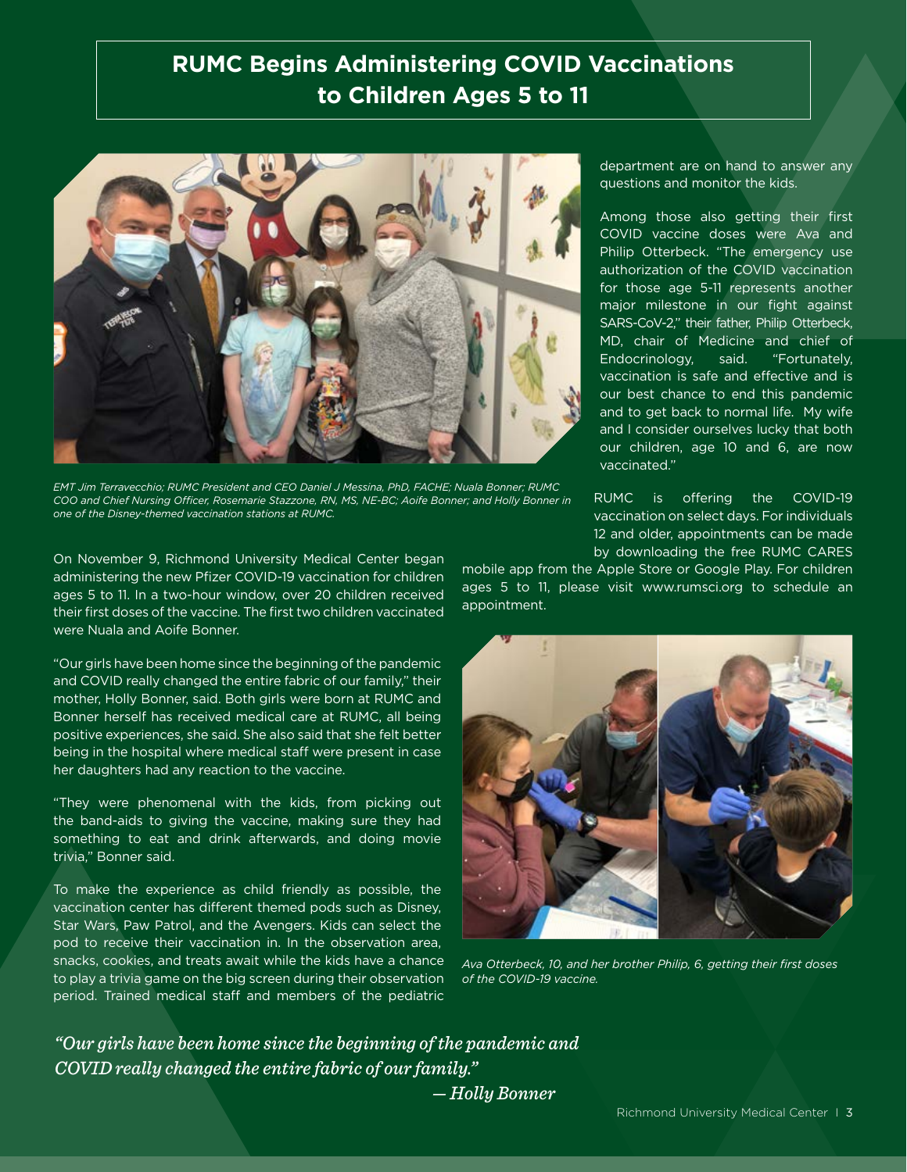### **RUMC Begins Administering COVID Vaccinations to Children Ages 5 to 11**



*EMT Jim Terravecchio; RUMC President and CEO Daniel J Messina, PhD, FACHE; Nuala Bonner; RUMC COO and Chief Nursing Officer, Rosemarie Stazzone, RN, MS, NE-BC; Aoife Bonner; and Holly Bonner in one of the Disney-themed vaccination stations at RUMC.*

On November 9, Richmond University Medical Center began administering the new Pfizer COVID-19 vaccination for children ages 5 to 11. In a two-hour window, over 20 children received their first doses of the vaccine. The first two children vaccinated were Nuala and Aoife Bonner.

"Our girls have been home since the beginning of the pandemic and COVID really changed the entire fabric of our family," their mother, Holly Bonner, said. Both girls were born at RUMC and Bonner herself has received medical care at RUMC, all being positive experiences, she said. She also said that she felt better being in the hospital where medical staff were present in case her daughters had any reaction to the vaccine.

"They were phenomenal with the kids, from picking out the band-aids to giving the vaccine, making sure they had something to eat and drink afterwards, and doing movie trivia," Bonner said.

To make the experience as child friendly as possible, the vaccination center has different themed pods such as Disney, Star Wars, Paw Patrol, and the Avengers. Kids can select the pod to receive their vaccination in. In the observation area, snacks, cookies, and treats await while the kids have a chance to play a trivia game on the big screen during their observation period. Trained medical staff and members of the pediatric

department are on hand to answer any questions and monitor the kids.

Among those also getting their first COVID vaccine doses were Ava and Philip Otterbeck. "The emergency use authorization of the COVID vaccination for those age 5-11 represents another major milestone in our fight against SARS-CoV-2," their father, Philip Otterbeck, MD, chair of Medicine and chief of Endocrinology, said. "Fortunately, vaccination is safe and effective and is our best chance to end this pandemic and to get back to normal life. My wife and I consider ourselves lucky that both our children, age 10 and 6, are now vaccinated."

RUMC is offering the COVID-19 vaccination on select days. For individuals 12 and older, appointments can be made by downloading the free RUMC CARES

mobile app from the Apple Store or Google Play. For children ages 5 to 11, please visit www.rumsci.org to schedule an appointment.



*Ava Otterbeck, 10, and her brother Philip, 6, getting their first doses of the COVID-19 vaccine.*

*"Our girls have been home since the beginning of the pandemic and COVID really changed the entire fabric of our family."* 

 *— Holly Bonner*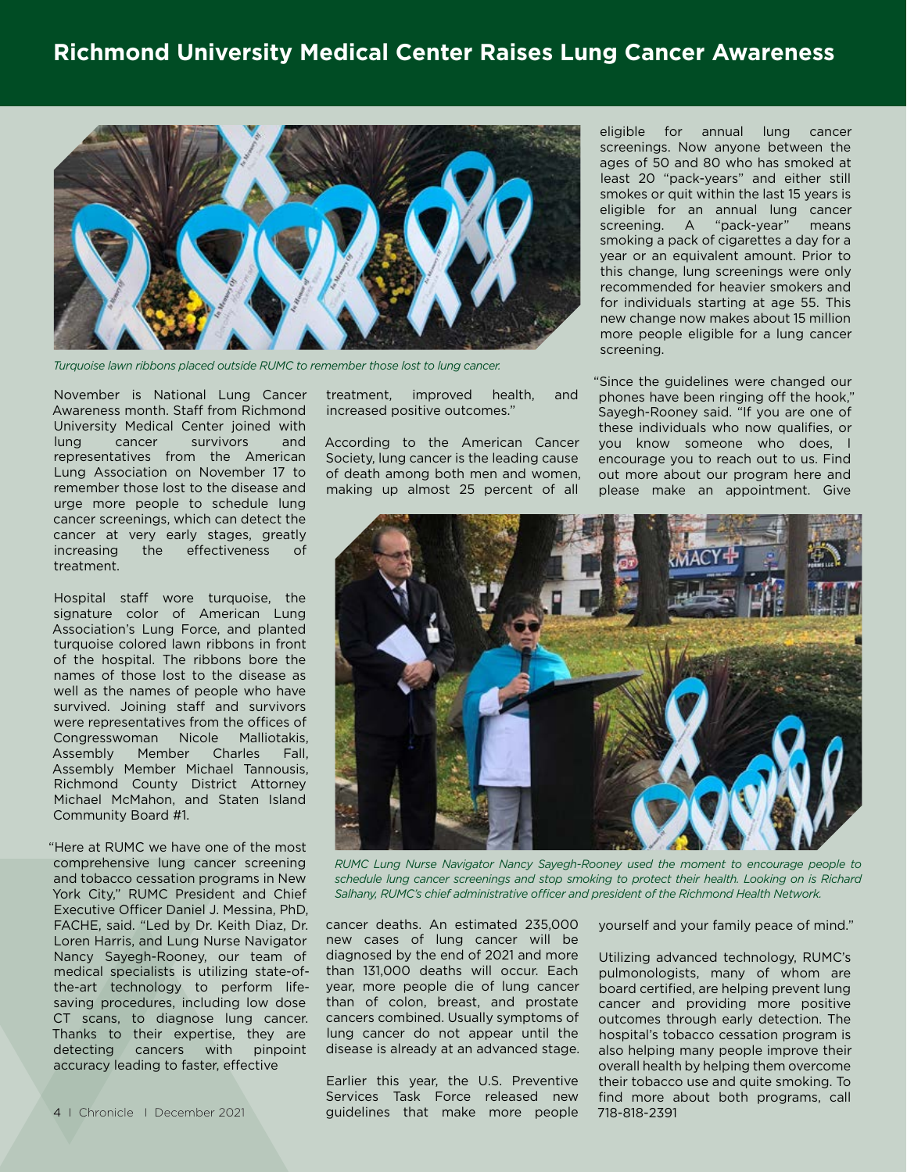

*Turquoise lawn ribbons placed outside RUMC to remember those lost to lung cancer.*

November is National Lung Cancer Awareness month. Staff from Richmond University Medical Center joined with lung cancer survivors and representatives from the American Lung Association on November 17 to remember those lost to the disease and urge more people to schedule lung cancer screenings, which can detect the cancer at very early stages, greatly increasing the effectiveness of treatment.

Hospital staff wore turquoise, the signature color of American Lung Association's Lung Force, and planted turquoise colored lawn ribbons in front of the hospital. The ribbons bore the names of those lost to the disease as well as the names of people who have survived. Joining staff and survivors were representatives from the offices of Congresswoman Nicole Malliotakis, Assembly Member Charles Fall, Assembly Member Michael Tannousis, Richmond County District Attorney Michael McMahon, and Staten Island Community Board #1.

"Here at RUMC we have one of the most comprehensive lung cancer screening and tobacco cessation programs in New York City," RUMC President and Chief Executive Officer Daniel J. Messina, PhD, FACHE, said. "Led by Dr. Keith Diaz, Dr. Loren Harris, and Lung Nurse Navigator Nancy Sayegh-Rooney, our team of medical specialists is utilizing state-ofthe-art technology to perform lifesaving procedures, including low dose CT scans, to diagnose lung cancer. Thanks to their expertise, they are detecting cancers with pinpoint accuracy leading to faster, effective

treatment, improved health, and increased positive outcomes."

According to the American Cancer Society, lung cancer is the leading cause of death among both men and women, making up almost 25 percent of all

eligible for annual lung cancer screenings. Now anyone between the ages of 50 and 80 who has smoked at least 20 "pack-years" and either still smokes or quit within the last 15 years is eligible for an annual lung cancer screening. A "pack-year" means smoking a pack of cigarettes a day for a year or an equivalent amount. Prior to this change, lung screenings were only recommended for heavier smokers and for individuals starting at age 55. This new change now makes about 15 million more people eligible for a lung cancer screening.

"Since the guidelines were changed our phones have been ringing off the hook," Sayegh-Rooney said. "If you are one of these individuals who now qualifies, or you know someone who does, I encourage you to reach out to us. Find out more about our program here and please make an appointment. Give



*RUMC Lung Nurse Navigator Nancy Sayegh-Rooney used the moment to encourage people to*  schedule lung cancer screenings and stop smoking to protect their health. Looking on is Richard *Salhany, RUMC's chief administrative officer and president of the Richmond Health Network.*

cancer deaths. An estimated 235,000 new cases of lung cancer will be diagnosed by the end of 2021 and more than 131,000 deaths will occur. Each year, more people die of lung cancer than of colon, breast, and prostate cancers combined. Usually symptoms of lung cancer do not appear until the disease is already at an advanced stage.

Earlier this year, the U.S. Preventive Services Task Force released new guidelines that make more people

yourself and your family peace of mind."

Utilizing advanced technology, RUMC's pulmonologists, many of whom are board certified, are helping prevent lung cancer and providing more positive outcomes through early detection. The hospital's tobacco cessation program is also helping many people improve their overall health by helping them overcome their tobacco use and quite smoking. To find more about both programs, call 718-818-2391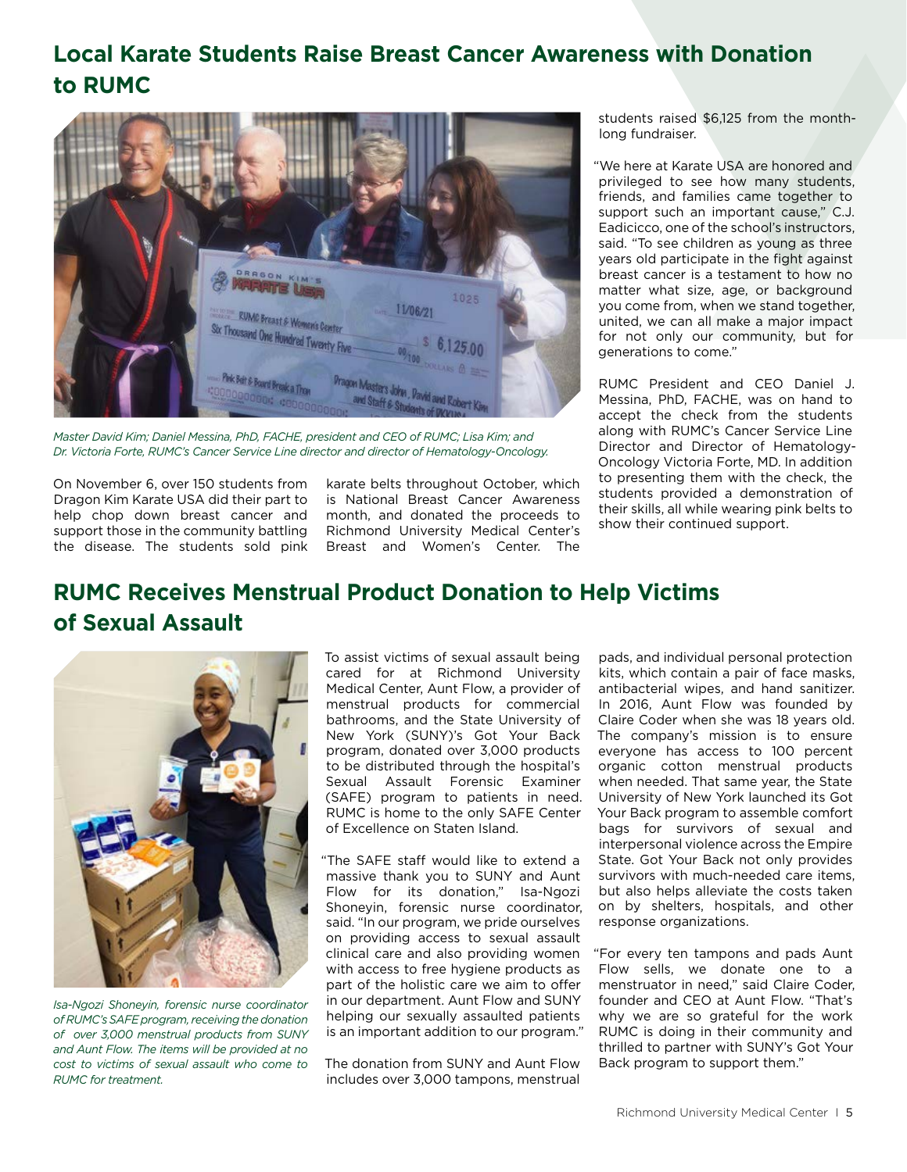### **Local Karate Students Raise Breast Cancer Awareness with Donation to RUMC**



*Master David Kim; Daniel Messina, PhD, FACHE, president and CEO of RUMC; Lisa Kim; and Dr. Victoria Forte, RUMC's Cancer Service Line director and director of Hematology-Oncology.*

On November 6, over 150 students from Dragon Kim Karate USA did their part to help chop down breast cancer and support those in the community battling the disease. The students sold pink karate belts throughout October, which is National Breast Cancer Awareness month, and donated the proceeds to Richmond University Medical Center's Breast and Women's Center. The

students raised \$6,125 from the monthlong fundraiser.

"We here at Karate USA are honored and privileged to see how many students, friends, and families came together to support such an important cause," C.J. Eadicicco, one of the school's instructors, said. "To see children as young as three years old participate in the fight against breast cancer is a testament to how no matter what size, age, or background you come from, when we stand together, united, we can all make a major impact for not only our community, but for generations to come."

RUMC President and CEO Daniel J. Messina, PhD, FACHE, was on hand to accept the check from the students along with RUMC's Cancer Service Line Director and Director of Hematology-Oncology Victoria Forte, MD. In addition to presenting them with the check, the students provided a demonstration of their skills, all while wearing pink belts to show their continued support.

### **RUMC Receives Menstrual Product Donation to Help Victims of Sexual Assault**



*Isa-Ngozi Shoneyin, forensic nurse coordinator of RUMC's SAFE program, receiving the donation of over 3,000 menstrual products from SUNY and Aunt Flow. The items will be provided at no cost to victims of sexual assault who come to RUMC for treatment.*

To assist victims of sexual assault being cared for at Richmond University Medical Center, Aunt Flow, a provider of menstrual products for commercial bathrooms, and the State University of New York (SUNY)'s Got Your Back program, donated over 3,000 products to be distributed through the hospital's Sexual Assault Forensic Examiner (SAFE) program to patients in need. RUMC is home to the only SAFE Center of Excellence on Staten Island.

"The SAFE staff would like to extend a massive thank you to SUNY and Aunt Flow for its donation," Isa-Ngozi Shoneyin, forensic nurse coordinator, said. "In our program, we pride ourselves on providing access to sexual assault clinical care and also providing women with access to free hygiene products as part of the holistic care we aim to offer in our department. Aunt Flow and SUNY helping our sexually assaulted patients is an important addition to our program."

The donation from SUNY and Aunt Flow includes over 3,000 tampons, menstrual

pads, and individual personal protection kits, which contain a pair of face masks, antibacterial wipes, and hand sanitizer. In 2016, Aunt Flow was founded by Claire Coder when she was 18 years old. The company's mission is to ensure everyone has access to 100 percent organic cotton menstrual products when needed. That same year, the State University of New York launched its Got Your Back program to assemble comfort bags for survivors of sexual and interpersonal violence across the Empire State. Got Your Back not only provides survivors with much-needed care items, but also helps alleviate the costs taken on by shelters, hospitals, and other response organizations.

"For every ten tampons and pads Aunt Flow sells, we donate one to a menstruator in need," said Claire Coder, founder and CEO at Aunt Flow. "That's why we are so grateful for the work RUMC is doing in their community and thrilled to partner with SUNY's Got Your Back program to support them."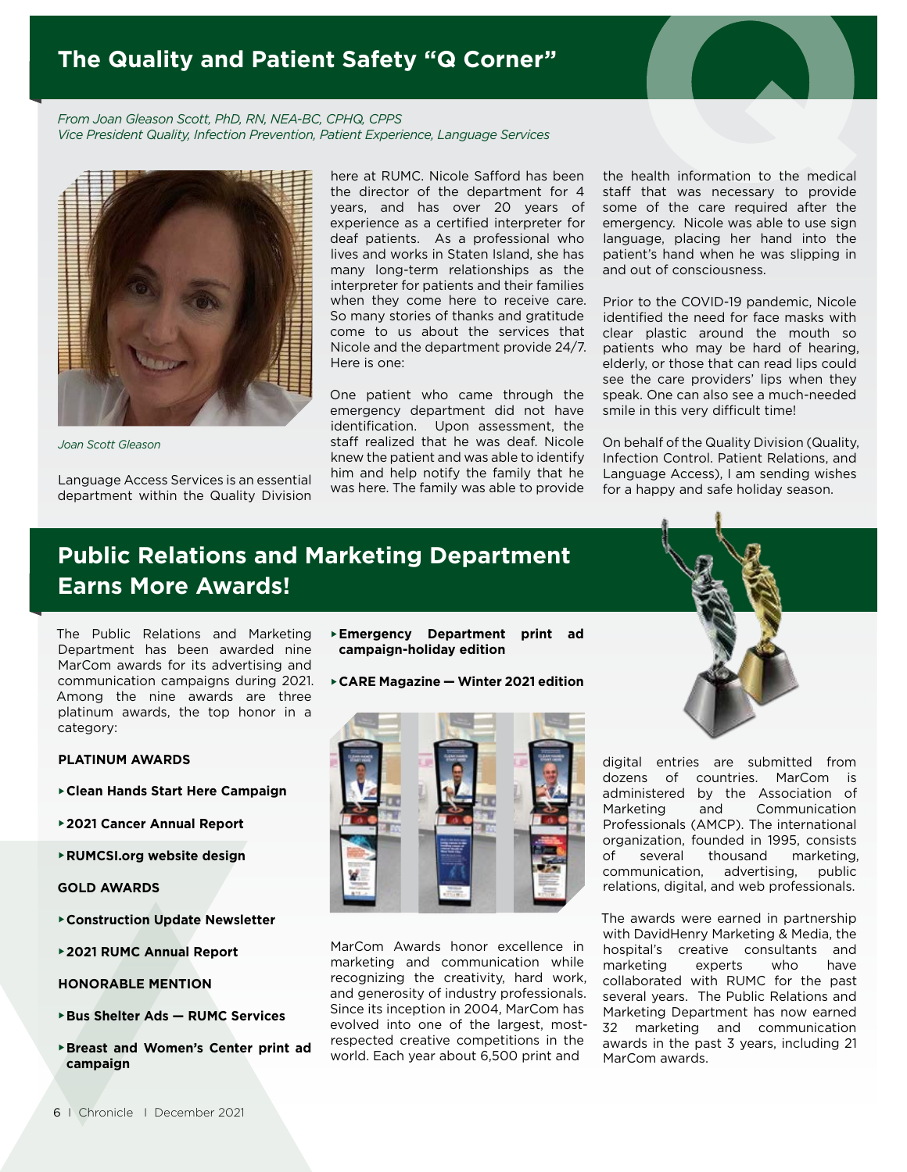### **The Quality and Patient Safety "Q Corner"**

*From Joan Gleason Scott, PhD, RN, NEA-BC, CPHQ, CPPS Vice President Quality, Infection Prevention, Patient Experience, Language Services*



*Joan Scott Gleason*

Language Access Services is an essential department within the Quality Division

here at RUMC. Nicole Safford has been the director of the department for 4 years, and has over 20 years of experience as a certified interpreter for deaf patients. As a professional who lives and works in Staten Island, she has many long-term relationships as the interpreter for patients and their families when they come here to receive care. So many stories of thanks and gratitude come to us about the services that Nicole and the department provide 24/7. Here is one:

One patient who came through the emergency department did not have identification. Upon assessment, the staff realized that he was deaf. Nicole knew the patient and was able to identify him and help notify the family that he was here. The family was able to provide

the health information to the medical staff that was necessary to provide some of the care required after the emergency. Nicole was able to use sign language, placing her hand into the patient's hand when he was slipping in and out of consciousness.

Prior to the COVID-19 pandemic, Nicole identified the need for face masks with clear plastic around the mouth so patients who may be hard of hearing, elderly, or those that can read lips could see the care providers' lips when they speak. One can also see a much-needed smile in this very difficult time!

On behalf of the Quality Division (Quality, Infection Control. Patient Relations, and Language Access), I am sending wishes for a happy and safe holiday season.

## **Public Relations and Marketing Department Earns More Awards!**

The Public Relations and Marketing Department has been awarded nine MarCom awards for its advertising and communication campaigns during 2021. Among the nine awards are three platinum awards, the top honor in a category:

#### **PLATINUM AWARDS**

- **Clean Hands Start Here Campaign**
- **2021 Cancer Annual Report**
- **RUMCSI.org website design**

#### **GOLD AWARDS**

- **Construction Update Newsletter**
- **2021 RUMC Annual Report**
- **HONORABLE MENTION**
- **Bus Shelter Ads RUMC Services**
- **Breast and Women's Center print ad campaign**
- **Emergency Department print ad campaign-holiday edition**
- **CARE Magazine Winter 2021 edition**



MarCom Awards honor excellence in marketing and communication while recognizing the creativity, hard work, and generosity of industry professionals. Since its inception in 2004, MarCom has evolved into one of the largest, mostrespected creative competitions in the world. Each year about 6,500 print and

digital entries are submitted from dozens of countries. MarCom is administered by the Association of Marketing and Communication Professionals (AMCP). The international organization, founded in 1995, consists of several thousand marketing, communication, advertising, public relations, digital, and web professionals.

The awards were earned in partnership with DavidHenry Marketing & Media, the hospital's creative consultants and marketing experts who have collaborated with RUMC for the past several years. The Public Relations and Marketing Department has now earned 32 marketing and communication awards in the past 3 years, including 21 MarCom awards.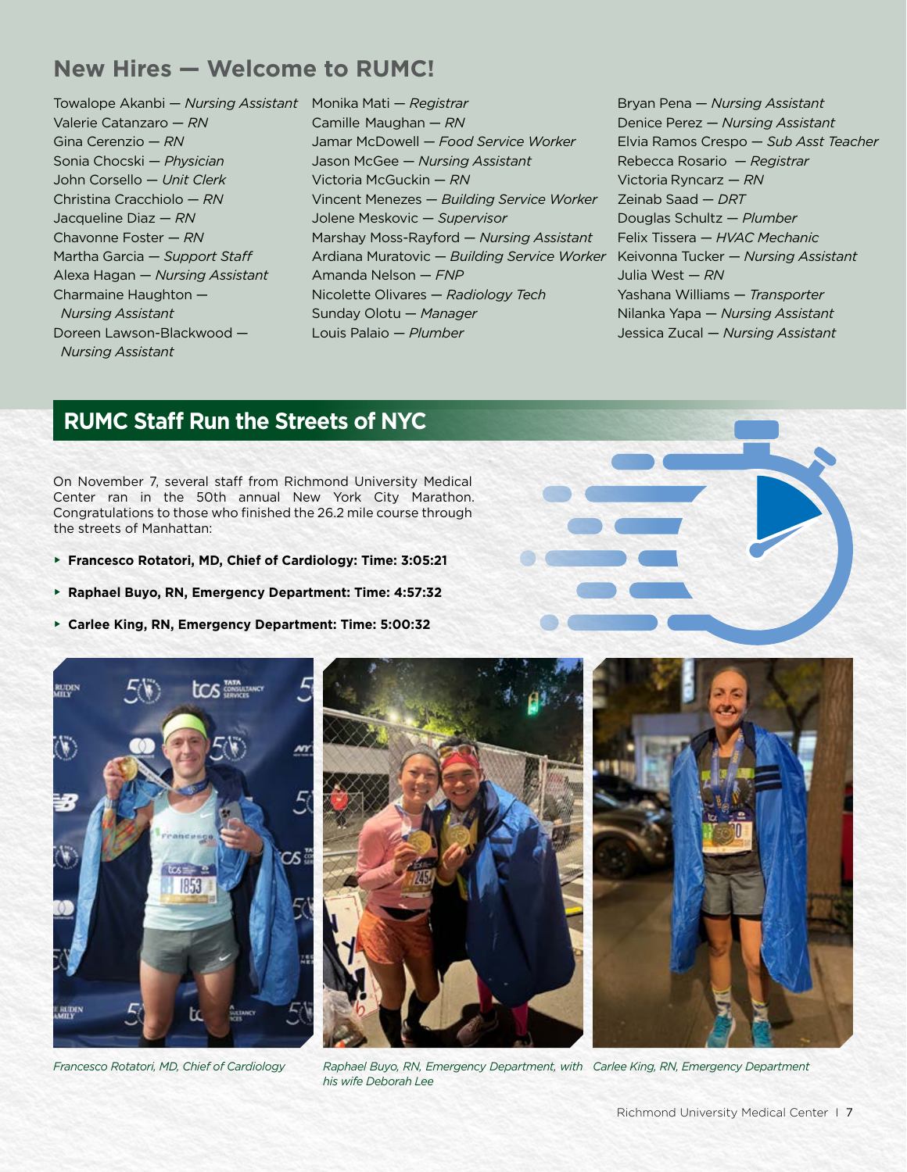#### **New Hires — Welcome to RUMC!**

Towalope Akanbi — *Nursing Assistant* Monika Mati — *Registrar* Valerie Catanzaro — *RN* Gina Cerenzio — *RN* Sonia Chocski — *Physician* John Corsello — *Unit Clerk* Christina Cracchiolo — *RN* Jacqueline Diaz — *RN* Chavonne Foster — *RN* Martha Garcia — *Support Staff* Alexa Hagan — *Nursing Assistant* Charmaine Haughton — *Nursing Assistant* Doreen Lawson-Blackwood — *Nursing Assistant*

Camille Maughan — *RN* Jamar McDowell — *Food Service Worker* Jason McGee — *Nursing Assistant* Victoria McGuckin — *RN* Vincent Menezes — *Building Service Worker* Jolene Meskovic — *Supervisor* Marshay Moss-Rayford — *Nursing Assistant* Ardiana Muratovic — *Building Service Worker* Keivonna Tucker — *Nursing Assistant* Amanda Nelson — *FNP* Nicolette Olivares — *Radiology Tech* Sunday Olotu — *Manager* Louis Palaio — *Plumber*

Bryan Pena — *Nursing Assistant* Denice Perez — *Nursing Assistant* Elvia Ramos Crespo — *Sub Asst Teacher* Rebecca Rosario — *Registrar* Victoria Ryncarz — *RN* Zeinab Saad — *DRT* Douglas Schultz — *Plumber* Felix Tissera — *HVAC Mechanic* Julia West — *RN* Yashana Williams — *Transporter* Nilanka Yapa — *Nursing Assistant* Jessica Zucal — *Nursing Assistant*

#### **RUMC Staff Run the Streets of NYC**

On November 7, several staff from Richmond University Medical Center ran in the 50th annual New York City Marathon. Congratulations to those who finished the 26.2 mile course through the streets of Manhattan:

- **Francesco Rotatori, MD, Chief of Cardiology: Time: 3:05:21**
- **Raphael Buyo, RN, Emergency Department: Time: 4:57:32**
- **Carlee King, RN, Emergency Department: Time: 5:00:32**





*Francesco Rotatori, MD, Chief of Cardiology Carlee King, RN, Emergency Department Raphael Buyo, RN, Emergency Department, with his wife Deborah Lee*